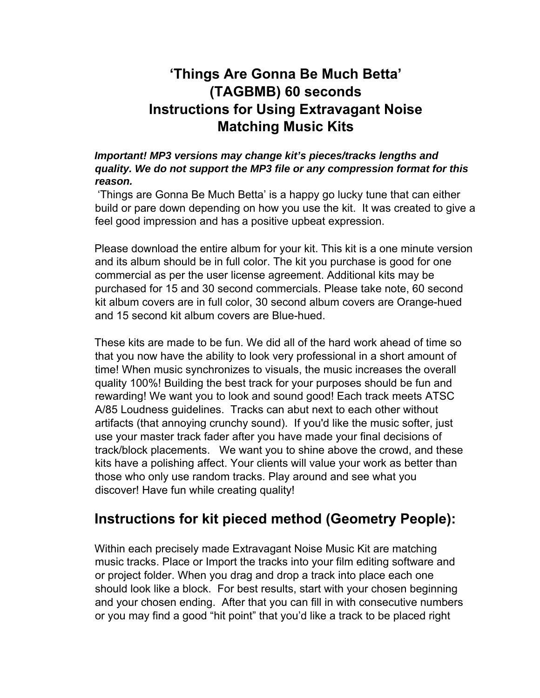# **'Things Are Gonna Be Much Betta' (TAGBMB) 60 seconds Instructions for Using Extravagant Noise Matching Music Kits**

*Important! MP3 versions may change kit's pieces/tracks lengths and quality. We do not support the MP3 file or any compression format for this reason.* 

'Things are Gonna Be Much Betta' is a happy go lucky tune that can either build or pare down depending on how you use the kit. It was created to give a feel good impression and has a positive upbeat expression.

Please download the entire album for your kit. This kit is a one minute version and its album should be in full color. The kit you purchase is good for one commercial as per the user license agreement. Additional kits may be purchased for 15 and 30 second commercials. Please take note, 60 second kit album covers are in full color, 30 second album covers are Orange-hued and 15 second kit album covers are Blue-hued.

These kits are made to be fun. We did all of the hard work ahead of time so that you now have the ability to look very professional in a short amount of time! When music synchronizes to visuals, the music increases the overall quality 100%! Building the best track for your purposes should be fun and rewarding! We want you to look and sound good! Each track meets ATSC A/85 Loudness guidelines. Tracks can abut next to each other without artifacts (that annoying crunchy sound). If you'd like the music softer, just use your master track fader after you have made your final decisions of track/block placements. We want you to shine above the crowd, and these kits have a polishing affect. Your clients will value your work as better than those who only use random tracks. Play around and see what you discover! Have fun while creating quality!

## **Instructions for kit pieced method (Geometry People):**

Within each precisely made Extravagant Noise Music Kit are matching music tracks. Place or Import the tracks into your film editing software and or project folder. When you drag and drop a track into place each one should look like a block. For best results, start with your chosen beginning and your chosen ending. After that you can fill in with consecutive numbers or you may find a good "hit point" that you'd like a track to be placed right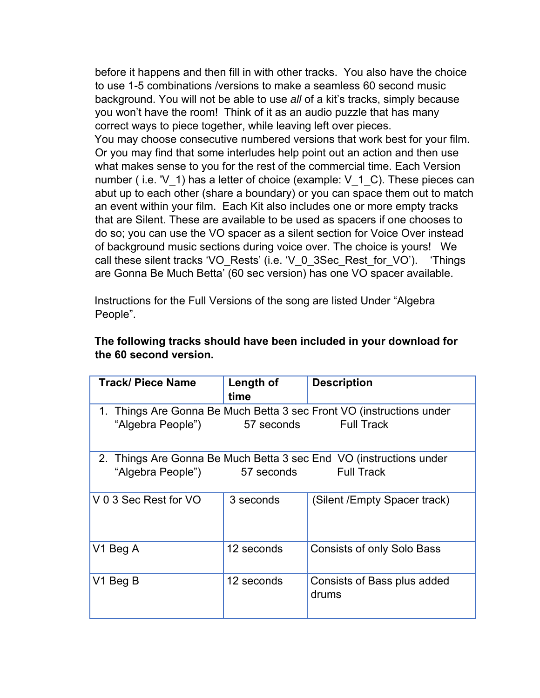before it happens and then fill in with other tracks. You also have the choice to use 1-5 combinations /versions to make a seamless 60 second music background. You will not be able to use *all* of a kit's tracks, simply because you won't have the room! Think of it as an audio puzzle that has many correct ways to piece together, while leaving left over pieces.

You may choose consecutive numbered versions that work best for your film. Or you may find that some interludes help point out an action and then use what makes sense to you for the rest of the commercial time. Each Version number (i.e. 'V 1) has a letter of choice (example: V 1 C). These pieces can abut up to each other (share a boundary) or you can space them out to match an event within your film. Each Kit also includes one or more empty tracks that are Silent. These are available to be used as spacers if one chooses to do so; you can use the VO spacer as a silent section for Voice Over instead of background music sections during voice over. The choice is yours! We call these silent tracks 'VO\_Rests' (i.e. 'V\_0\_3Sec\_Rest\_for\_VO'). 'Things are Gonna Be Much Betta' (60 sec version) has one VO spacer available.

Instructions for the Full Versions of the song are listed Under "Algebra People".

| <b>Track/ Piece Name</b>                                             | Length of<br>time | <b>Description</b>                   |  |  |  |  |
|----------------------------------------------------------------------|-------------------|--------------------------------------|--|--|--|--|
| 1. Things Are Gonna Be Much Betta 3 sec Front VO (instructions under |                   |                                      |  |  |  |  |
| "Algebra People") 57 seconds Full Track                              |                   |                                      |  |  |  |  |
| 2. Things Are Gonna Be Much Betta 3 sec End VO (instructions under   |                   |                                      |  |  |  |  |
| "Algebra People") 57 seconds<br><b>Full Track</b>                    |                   |                                      |  |  |  |  |
| V 0 3 Sec Rest for VO                                                | 3 seconds         | (Silent /Empty Spacer track)         |  |  |  |  |
| V1 Beg A                                                             | 12 seconds        | <b>Consists of only Solo Bass</b>    |  |  |  |  |
| V1 Beg B                                                             | 12 seconds        | Consists of Bass plus added<br>drums |  |  |  |  |

#### **The following tracks should have been included in your download for the 60 second version.**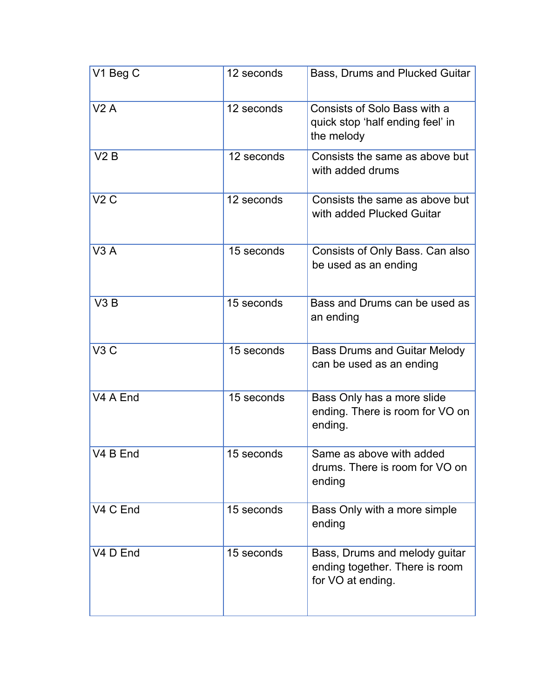| V1 Beg C             | 12 seconds | Bass, Drums and Plucked Guitar                                                       |  |  |
|----------------------|------------|--------------------------------------------------------------------------------------|--|--|
| V2A                  | 12 seconds | Consists of Solo Bass with a<br>quick stop 'half ending feel' in<br>the melody       |  |  |
| V2B                  | 12 seconds | Consists the same as above but<br>with added drums                                   |  |  |
| V2C                  | 12 seconds | Consists the same as above but<br>with added Plucked Guitar                          |  |  |
| V3A                  | 15 seconds | Consists of Only Bass. Can also<br>be used as an ending                              |  |  |
| V3B                  | 15 seconds | Bass and Drums can be used as<br>an ending                                           |  |  |
| V3C                  | 15 seconds | <b>Bass Drums and Guitar Melody</b><br>can be used as an ending                      |  |  |
| V <sub>4</sub> A End | 15 seconds | Bass Only has a more slide<br>ending. There is room for VO on<br>ending.             |  |  |
| V4 B End             | 15 seconds | Same as above with added<br>drums. There is room for VO on<br>ending                 |  |  |
| V <sub>4</sub> C End | 15 seconds | Bass Only with a more simple<br>ending                                               |  |  |
| V <sub>4</sub> D End | 15 seconds | Bass, Drums and melody guitar<br>ending together. There is room<br>for VO at ending. |  |  |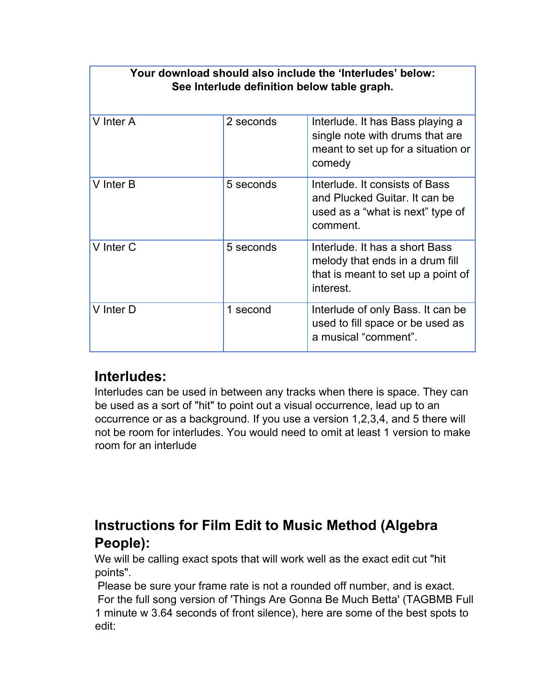| Your download should also include the 'Interludes' below:<br>See Interlude definition below table graph. |           |                                                                                                                      |  |  |  |  |
|----------------------------------------------------------------------------------------------------------|-----------|----------------------------------------------------------------------------------------------------------------------|--|--|--|--|
| V Inter A                                                                                                | 2 seconds | Interlude. It has Bass playing a<br>single note with drums that are<br>meant to set up for a situation or<br>comedy  |  |  |  |  |
| V Inter B                                                                                                | 5 seconds | Interlude. It consists of Bass<br>and Plucked Guitar. It can be<br>used as a "what is next" type of<br>comment.      |  |  |  |  |
| V Inter C                                                                                                | 5 seconds | Interlude. It has a short Bass<br>melody that ends in a drum fill<br>that is meant to set up a point of<br>interest. |  |  |  |  |
| V Inter D                                                                                                | 1 second  | Interlude of only Bass. It can be<br>used to fill space or be used as<br>a musical "comment".                        |  |  |  |  |

### **Interludes:**

Interludes can be used in between any tracks when there is space. They can be used as a sort of "hit" to point out a visual occurrence, lead up to an occurrence or as a background. If you use a version 1,2,3,4, and 5 there will not be room for interludes. You would need to omit at least 1 version to make room for an interlude

# **Instructions for Film Edit to Music Method (Algebra People):**

We will be calling exact spots that will work well as the exact edit cut "hit points".

 Please be sure your frame rate is not a rounded off number, and is exact. For the full song version of 'Things Are Gonna Be Much Betta' (TAGBMB Full 1 minute w 3.64 seconds of front silence), here are some of the best spots to edit: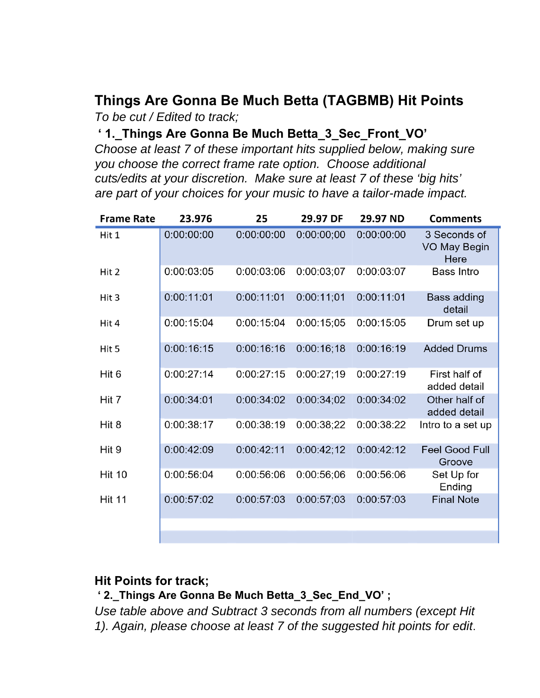### **Things Are Gonna Be Much Betta (TAGBMB) Hit Points**  *To be cut / Edited to track;*

**' 1.\_Things Are Gonna Be Much Betta\_3\_Sec\_Front\_VO'** 

*Choose at least 7 of these important hits supplied below, making sure you choose the correct frame rate option. Choose additional cuts/edits at your discretion. Make sure at least 7 of these 'big hits' are part of your choices for your music to have a tailor-made impact.* 

| <b>Frame Rate</b> | 23.976     | 25         | 29.97 DF   | 29.97 ND   | <b>Comments</b>                             |
|-------------------|------------|------------|------------|------------|---------------------------------------------|
| Hit 1             | 0:00:00:00 | 0:00:00:00 | 0:00:00;00 | 0:00:00:00 | 3 Seconds of<br><b>VO May Begin</b><br>Here |
| Hit 2             | 0:00:03:05 | 0:00:03:06 | 0:00:03;07 | 0:00:03:07 | <b>Bass Intro</b>                           |
| Hit 3             | 0:00:11:01 | 0:00:11:01 | 0:00:11:01 | 0:00:11:01 | <b>Bass adding</b><br>detail                |
| Hit 4             | 0:00:15:04 | 0:00:15:04 | 0:00:15:05 | 0:00:15:05 | Drum set up                                 |
| Hit 5             | 0:00:16:15 | 0:00:16:16 | 0:00:16:18 | 0:00:16:19 | <b>Added Drums</b>                          |
| Hit 6             | 0:00:27:14 | 0:00:27:15 | 0:00:27:19 | 0:00:27:19 | First half of<br>added detail               |
| Hit 7             | 0:00:34:01 | 0:00:34:02 | 0:00:34;02 | 0:00:34:02 | Other half of<br>added detail               |
| Hit 8             | 0:00:38:17 | 0:00:38:19 | 0:00:38;22 | 0:00:38:22 | Intro to a set up                           |
| Hit 9             | 0:00:42:09 | 0:00:42:11 | 0:00:42;12 | 0:00:42:12 | <b>Feel Good Full</b><br>Groove             |
| <b>Hit 10</b>     | 0:00:56:04 | 0:00:56:06 | 0:00:56;06 | 0:00:56:06 | Set Up for<br>Ending                        |
| <b>Hit 11</b>     | 0:00:57:02 | 0:00:57:03 | 0:00:57:03 | 0:00:57:03 | <b>Final Note</b>                           |
|                   |            |            |            |            |                                             |
|                   |            |            |            |            |                                             |

#### **Hit Points for track;**

 **' 2.\_Things Are Gonna Be Much Betta\_3\_Sec\_End\_VO' ;** 

*Use table above and Subtract 3 seconds from all numbers (except Hit 1). Again, please choose at least 7 of the suggested hit points for edit*.